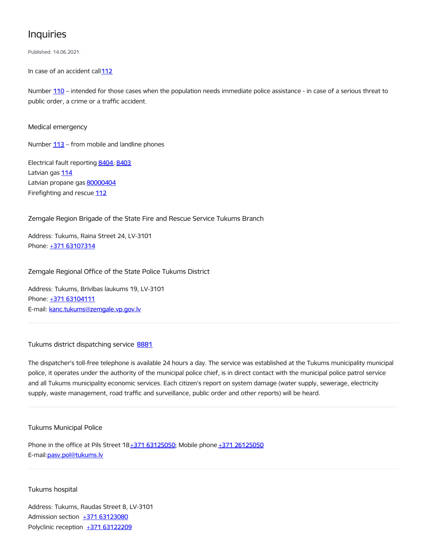## Inquiries

Published: 14.06.2021.

In case of an accident call [112](tel:112)

Number [110](tel:110) – intended for those cases when the population needs immediate police assistance - in case of a serious threat to public order, a crime or a traffic accident.

Medical emergency

Number  $113$  – from mobile and landline phones

Electrical fault reporting [8404](tel:8404); [8403](tel:8403) Latvian gas [114](tel:114) Latvian propane gas [80000404](tel:80000404) Firefighting and rescue [112](tel:112)

Zemgale Region Brigade of the State Fire and Rescue Service Tukums Branch

Address: Tukums, Raina Street 24, LV-3101 Phone: +371 [63107314](tel:+371%2063107314)

Zemgale Regional Office of the State Police Tukums District

Address: Tukums, Brīvības laukums 19, LV-3101 Phone: +371 [63104111](tel:+371%2063104111) E-mail: [kanc.tukums@zemgale.vp.gov.lv](mailto:kanc.tukums@zemgale.vp.gov.lv)

Tukums district dispatching service [8881](tel:8881)

The dispatcher's toll-free telephone is available 24 hours a day. The service was established at the Tukums municipality municipal police, it operates under the authority of the municipal police chief, is in direct contact with the municipal police patrol service and all Tukums municipality economic services. Each citizen's report on system damage (water supply, sewerage, electricity supply, waste management, road traffic and surveillance, public order and other reports) will be heard.

Tukums Municipal Police

Phone in the office at Pils Street  $18+371$   $63125050$ ; Mobile phone  $+371$   $26125050$ E-mail:[pasv.pol@tukums.lv](mailto:pasv.pol@tukums.lv)

## Tukums hospital

Address: Tukums, Raudas Street 8, LV-3101 Admission section +371 [63123080](tel:+371%2063123080) Polyclinic reception +371 [63122209](tel:+371%2063122209)